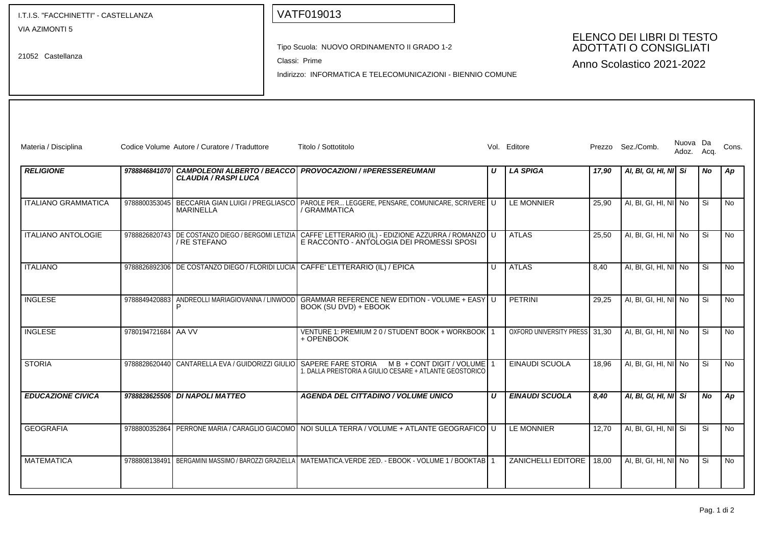I.T.I.S. "FACCHINETTI" - CASTELLANZA Tipo Scuola: NUOVO ORDINAMENTO II GRADO 1-2 Classi: Prime Indirizzo: INFORMATICA E TELECOMUNICAZIONI - BIENNIO COMUNE VIA AZIMONTI 5 21052 Castellanza Materia / Disciplina Codice Volume Autore / Curatore / Traduttore Titolo / Sottotitolo Vol. Editore Vol. Editore Prezzo Sez./Comb. Nuova Da Cons. Adoz. Acq. Nuova Da **RELIGIONE 9788846841070 CAMPOLEONI ALBERTO / BEACCO CLAUDIA / RASPI LUCA PROVOCAZIONI / #PERESSEREUMANI U LA SPIGA 17,90 AI, BI, GI, HI, NI Si No Ap** ITALIANO GRAMMATICA '9788800353045】BECCARIA GIAN LUIGI / PREGLIASCO PAROLE PER... LEGGERE, PENSARE, COMUNICARE, SCRIVERE **MARINELLA** / GRAMMATICA LE MONNIER 25,90 AI, BI, GI, HI, NI No Si No ITALIANO ANTOLOGIE 9788826820743 DE COSTANZO DIEGO / BERGOMI LETIZIA / RE STEFANO CAFFE' LETTERARIO (IL) - EDIZIONE AZZURRA / ROMANZO E RACCONTO - ANTOLOGIA DEI PROMESSI SPOSI U ATLAS 25,50 AI, BI, GI, HI, NI NO Si NO ITALIANO 9788826892306 DE COSTANZO DIEGO / FLORIDI LUCIA CAFFE' LETTERARIO (IL) / EPICA U ATLAS 8,40 AI, BI, GI, HI, NI No Si No INGLESE 9788849420883 ANDREOLLI MARIAGIOVANNA / LINWOOD P GRAMMAR REFERENCE NEW EDITION - VOLUME + EASY BOOK (SU DVD) + EBOOK U PETRINI 29,25 AI, BI, GI, HI, NI No Si No INGLESE 9780194721684 AA VV VENTURE 1: PREMIUM 2 0 / STUDENT BOOK + WORKBOOK + OPENBOOK 1 I OXFORD UNIVERSITY PRESSI 31.30 I AI, BI, GI, HI, NII No I I Si I I No STORIA 9788828620440 CANTARELLA EVA / GUIDORIZZI GIULIO SAPERE FARE STORIA M B + CONT DIGIT / VOLUME 1. DALLA PREISTORIA A GIULIO CESARE + ATLANTE GEOSTORICO 1 EINAUDI SCUOLA 18,96 AI, BI, GI, HI, NI No Si No **EDUCAZIONE CIVICA 9788828625506 DI NAPOLI MATTEO AGENDA DEL CITTADINO / VOLUME UNICO U EINAUDI SCUOLA 8,40 AI, BI, GI, HI, NI Si No Ap** GEOGRAFIA 9788800352864 PERRONE MARIA / CARAGLIO GIACOMO NOI SULLA TERRA / VOLUME + ATLANTE GEOGRAFICO U LE MONNIER 12,70 AI, BI, GI, HI, NI Si Si No MATEMATICA 9788808138491 BERGAMINI MASSIMO / BAROZZI GRAZIELLA MATEMATICA.VERDE 2ED. - EBOOK - VOLUME 1 / BOOKTAB 1 ZANICHELLI EDITORE 18.00 AI, BI, GI, HI, NI No Si No VATF019013 ELENCO DEI LIBRI DI TESTO ADOTTATI O CONSIGLIATI Anno Scolastico 2021-2022